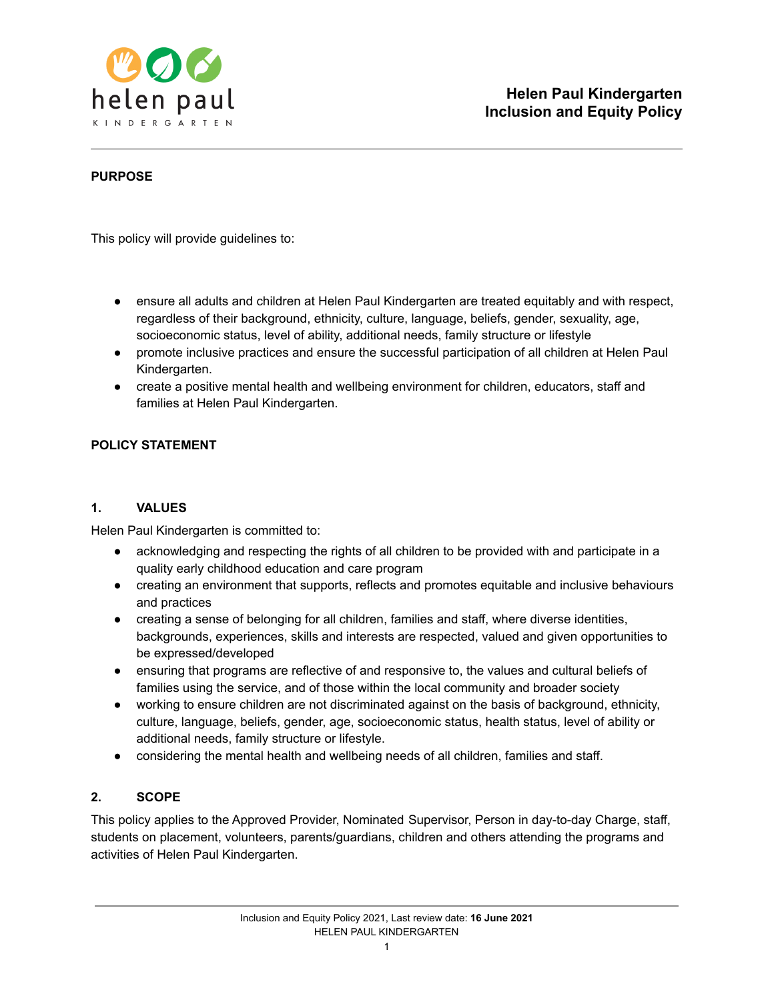

## **PURPOSE**

This policy will provide guidelines to:

- ensure all adults and children at Helen Paul Kindergarten are treated equitably and with respect, regardless of their background, ethnicity, culture, language, beliefs, gender, sexuality, age, socioeconomic status, level of ability, additional needs, family structure or lifestyle
- promote inclusive practices and ensure the successful participation of all children at Helen Paul Kindergarten.
- create a positive mental health and wellbeing environment for children, educators, staff and families at Helen Paul Kindergarten.

# **POLICY STATEMENT**

### **1. VALUES**

Helen Paul Kindergarten is committed to:

- acknowledging and respecting the rights of all children to be provided with and participate in a quality early childhood education and care program
- creating an environment that supports, reflects and promotes equitable and inclusive behaviours and practices
- creating a sense of belonging for all children, families and staff, where diverse identities, backgrounds, experiences, skills and interests are respected, valued and given opportunities to be expressed/developed
- ensuring that programs are reflective of and responsive to, the values and cultural beliefs of families using the service, and of those within the local community and broader society
- working to ensure children are not discriminated against on the basis of background, ethnicity, culture, language, beliefs, gender, age, socioeconomic status, health status, level of ability or additional needs, family structure or lifestyle.
- considering the mental health and wellbeing needs of all children, families and staff.

### **2. SCOPE**

This policy applies to the Approved Provider, Nominated Supervisor, Person in day-to-day Charge, staff, students on placement, volunteers, parents/guardians, children and others attending the programs and activities of Helen Paul Kindergarten.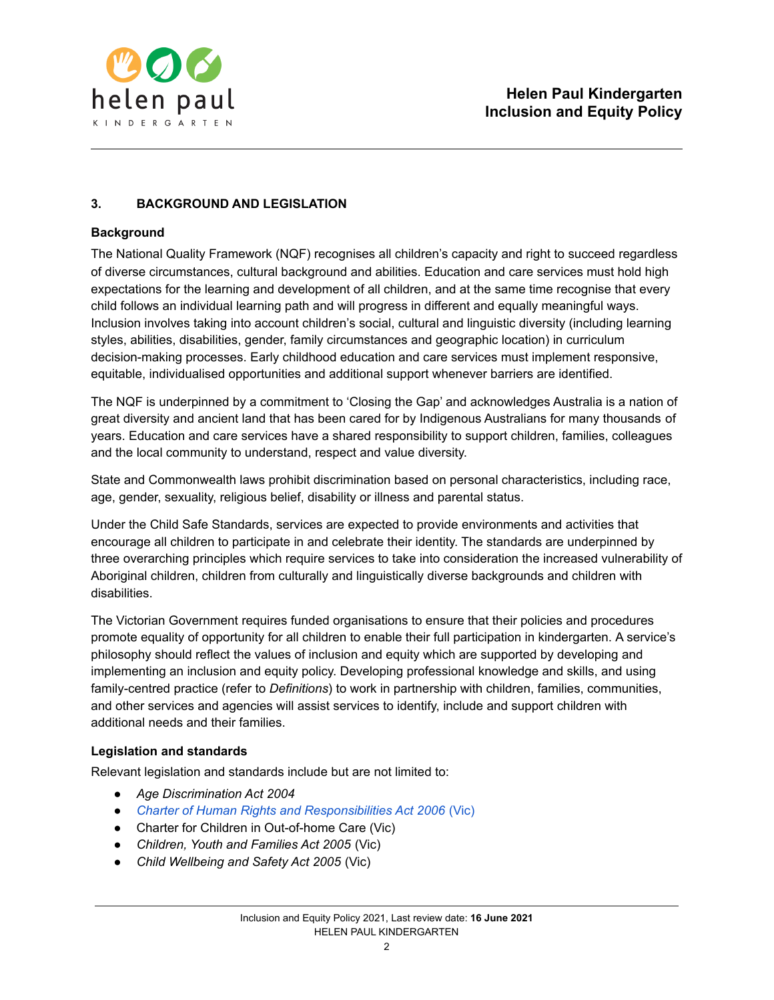

# **3. BACKGROUND AND LEGISLATION**

## **Background**

The National Quality Framework (NQF) recognises all children's capacity and right to succeed regardless of diverse circumstances, cultural background and abilities. Education and care services must hold high expectations for the learning and development of all children, and at the same time recognise that every child follows an individual learning path and will progress in different and equally meaningful ways. Inclusion involves taking into account children's social, cultural and linguistic diversity (including learning styles, abilities, disabilities, gender, family circumstances and geographic location) in curriculum decision-making processes. Early childhood education and care services must implement responsive, equitable, individualised opportunities and additional support whenever barriers are identified.

The NQF is underpinned by a commitment to 'Closing the Gap' and acknowledges Australia is a nation of great diversity and ancient land that has been cared for by Indigenous Australians for many thousands of years. Education and care services have a shared responsibility to support children, families, colleagues and the local community to understand, respect and value diversity.

State and Commonwealth laws prohibit discrimination based on personal characteristics, including race, age, gender, sexuality, religious belief, disability or illness and parental status.

Under the Child Safe Standards, services are expected to provide environments and activities that encourage all children to participate in and celebrate their identity. The standards are underpinned by three overarching principles which require services to take into consideration the increased vulnerability of Aboriginal children, children from culturally and linguistically diverse backgrounds and children with disabilities.

The Victorian Government requires funded organisations to ensure that their policies and procedures promote equality of opportunity for all children to enable their full participation in kindergarten. A service's philosophy should reflect the values of inclusion and equity which are supported by developing and implementing an inclusion and equity policy. Developing professional knowledge and skills, and using family-centred practice (refer to *Definitions*) to work in partnership with children, families, communities, and other services and agencies will assist services to identify, include and support children with additional needs and their families.

### **Legislation and standards**

Relevant legislation and standards include but are not limited to:

- *● Age Discrimination Act 2004*
- *● Charter of Human Rights and [Responsibilities](http://www.legislation.vic.gov.au/Domino/Web_Notes/LDMS/PubStatbook.nsf/f932b66241ecf1b7ca256e92000e23be/54d73763ef9dca36ca2571b6002428b0!OpenDocument) Act 2006* (Vic)
- *●* Charter for Children in Out-of-home Care (Vic)
- *● Children, Youth and Families Act 2005* (Vic)
- *● Child Wellbeing and Safety Act 2005* (Vic)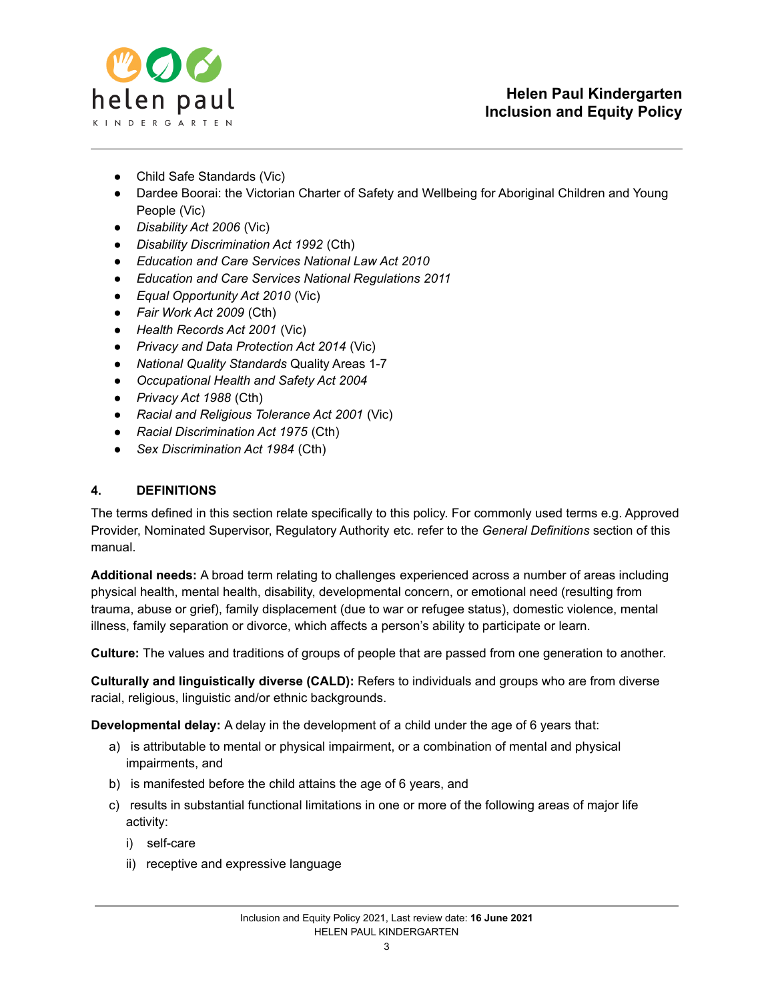

- *●* Child Safe Standards (Vic)
- *●* Dardee Boorai: the Victorian Charter of Safety and Wellbeing for Aboriginal Children and Young People (Vic)
- *● Disability Act 2006* (Vic)
- *● Disability Discrimination Act 1992* (Cth)
- *● Education and Care Services National Law Act 2010*
- *● Education and Care Services National Regulations 2011*
- *● Equal Opportunity Act 2010* (Vic)
- *● Fair Work Act 2009* (Cth)
- *● Health Records Act 2001* (Vic)
- *● Privacy and Data Protection Act 2014* (Vic)
- *● National Quality Standards* Quality Areas 1-7
- *● Occupational Health and Safety Act 2004*
- *● Privacy Act 1988* (Cth)
- *● Racial and Religious Tolerance Act 2001* (Vic)
- *● Racial Discrimination Act 1975* (Cth)
- *● Sex Discrimination Act 1984* (Cth)

## **4. DEFINITIONS**

The terms defined in this section relate specifically to this policy. For commonly used terms e.g. Approved Provider, Nominated Supervisor, Regulatory Authority etc. refer to the *General Definitions* section of this manual.

**Additional needs:** A broad term relating to challenges experienced across a number of areas including physical health, mental health, disability, developmental concern, or emotional need (resulting from trauma, abuse or grief), family displacement (due to war or refugee status), domestic violence, mental illness, family separation or divorce, which affects a person's ability to participate or learn.

**Culture:** The values and traditions of groups of people that are passed from one generation to another.

**Culturally and linguistically diverse (CALD):** Refers to individuals and groups who are from diverse racial, religious, linguistic and/or ethnic backgrounds.

**Developmental delay:** A delay in the development of a child under the age of 6 years that:

- a) is attributable to mental or physical impairment, or a combination of mental and physical impairments, and
- b) is manifested before the child attains the age of 6 years, and
- c) results in substantial functional limitations in one or more of the following areas of major life activity:
	- i) self-care
	- ii) receptive and expressive language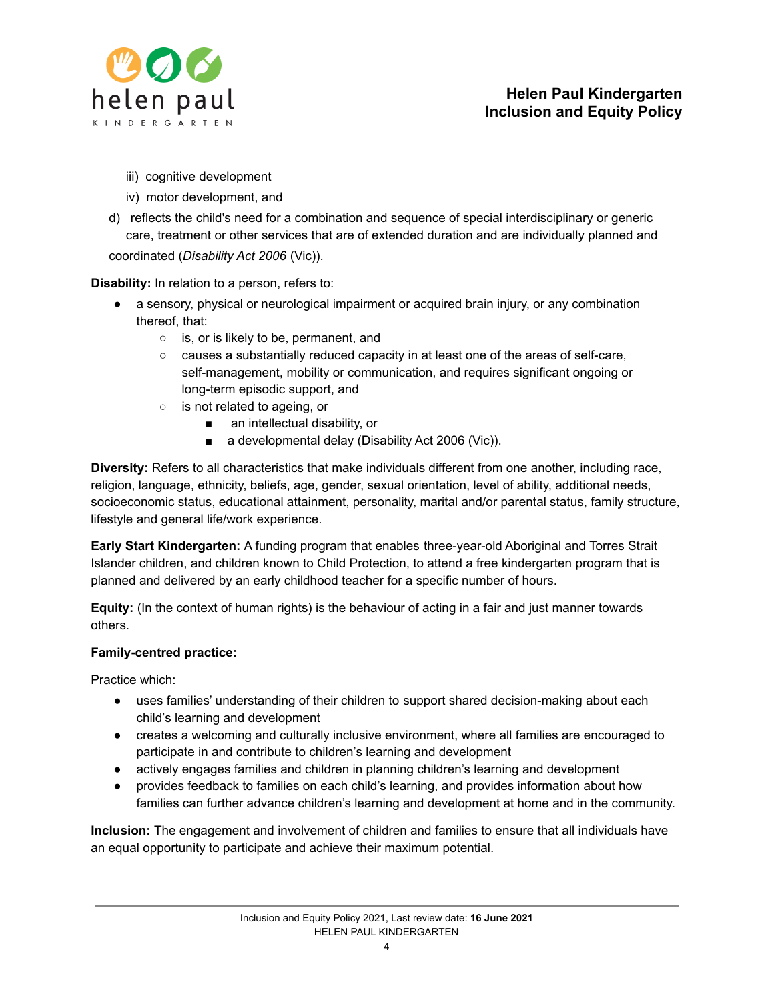

- iii) cognitive development
- iv) motor development, and
- d) reflects the child's need for a combination and sequence of special interdisciplinary or generic care, treatment or other services that are of extended duration and are individually planned and

coordinated (*Disability Act 2006* (Vic)).

**Disability:** In relation to a person, refers to:

- a sensory, physical or neurological impairment or acquired brain injury, or any combination thereof, that:
	- is, or is likely to be, permanent, and
	- causes a substantially reduced capacity in at least one of the areas of self-care, self-management, mobility or communication, and requires significant ongoing or long-term episodic support, and
	- is not related to ageing, or
		- an intellectual disability, or
		- a developmental delay (Disability Act 2006 (Vic)).

**Diversity:** Refers to all characteristics that make individuals different from one another, including race, religion, language, ethnicity, beliefs, age, gender, sexual orientation, level of ability, additional needs, socioeconomic status, educational attainment, personality, marital and/or parental status, family structure, lifestyle and general life/work experience.

**Early Start Kindergarten:** A funding program that enables three-year-old Aboriginal and Torres Strait Islander children, and children known to Child Protection, to attend a free kindergarten program that is planned and delivered by an early childhood teacher for a specific number of hours.

**Equity:** (In the context of human rights) is the behaviour of acting in a fair and just manner towards others.

### **Family-centred practice:**

Practice which:

- uses families' understanding of their children to support shared decision-making about each child's learning and development
- creates a welcoming and culturally inclusive environment, where all families are encouraged to participate in and contribute to children's learning and development
- actively engages families and children in planning children's learning and development
- provides feedback to families on each child's learning, and provides information about how families can further advance children's learning and development at home and in the community.

**Inclusion:** The engagement and involvement of children and families to ensure that all individuals have an equal opportunity to participate and achieve their maximum potential.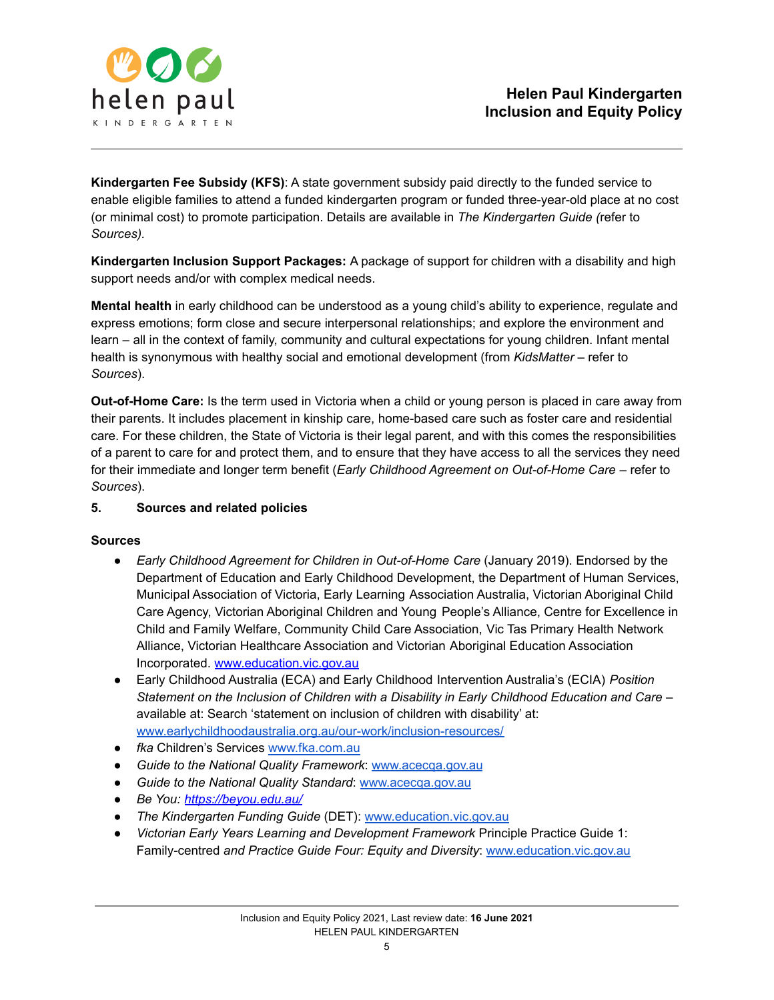

**Kindergarten Fee Subsidy (KFS)**: A state government subsidy paid directly to the funded service to enable eligible families to attend a funded kindergarten program or funded three-year-old place at no cost (or minimal cost) to promote participation. Details are available in *The Kindergarten Guide (*refer to *Sources).*

**Kindergarten Inclusion Support Packages:** A package of support for children with a disability and high support needs and/or with complex medical needs.

**Mental health** in early childhood can be understood as a young child's ability to experience, regulate and express emotions; form close and secure interpersonal relationships; and explore the environment and learn – all in the context of family, community and cultural expectations for young children. Infant mental health is synonymous with healthy social and emotional development (from *KidsMatter –* refer to *Sources*).

**Out-of-Home Care:** Is the term used in Victoria when a child or young person is placed in care away from their parents. It includes placement in kinship care, home-based care such as foster care and residential care. For these children, the State of Victoria is their legal parent, and with this comes the responsibilities of a parent to care for and protect them, and to ensure that they have access to all the services they need for their immediate and longer term benefit (*Early Childhood Agreement on Out-of-Home Care* – refer to *Sources*).

## **5. Sources and related policies**

### **Sources**

- *Early Childhood Agreement for Children in Out-of-Home Care* (January 2019). Endorsed by the Department of Education and Early Childhood Development, the Department of Human Services, Municipal Association of Victoria, Early Learning Association Australia, Victorian Aboriginal Child Care Agency, Victorian Aboriginal Children and Young People's Alliance, Centre for Excellence in Child and Family Welfare, Community Child Care Association, Vic Tas Primary Health Network Alliance, Victorian Healthcare Association and Victorian Aboriginal Education Association Incorporated. [www.education.vic.gov.au](http://www.education.vic.gov.au)
- Early Childhood Australia (ECA) and Early Childhood Intervention Australia's (ECIA) *Position Statement on the Inclusion of Children with a Disability in Early Childhood Education and Care –* available at: Search 'statement on inclusion of children with disability' at: [www.earlychildhoodaustralia.org.au/our-work/inclusion-resources/](http://www.earlychildhoodaustralia.org.au/our-work/inclusion-resources/)
- *fka* Children's Services [www.fka.com.au](http://www.fka.com.au)
- *Guide to the National Quality Framework*: [www.acecqa.gov.au](https://www.acecqa.gov.au/)
- *Guide to the National Quality Standard*: [www.acecqa.gov.au](http://www.acecqa.gov.au)
- *Be You: <https://beyou.edu.au/>*
- *The Kindergarten Funding Guide* (DET): [www.education.vic.gov.au](http://www.education.vic.gov.au)
- *Victorian Early Years Learning and Development Framework* Principle Practice Guide 1: Family-centred *and Practice Guide Four: Equity and Diversity*: [www.education.vic.gov.au](http://www.education.vic.gov.au/Pages/default.aspx)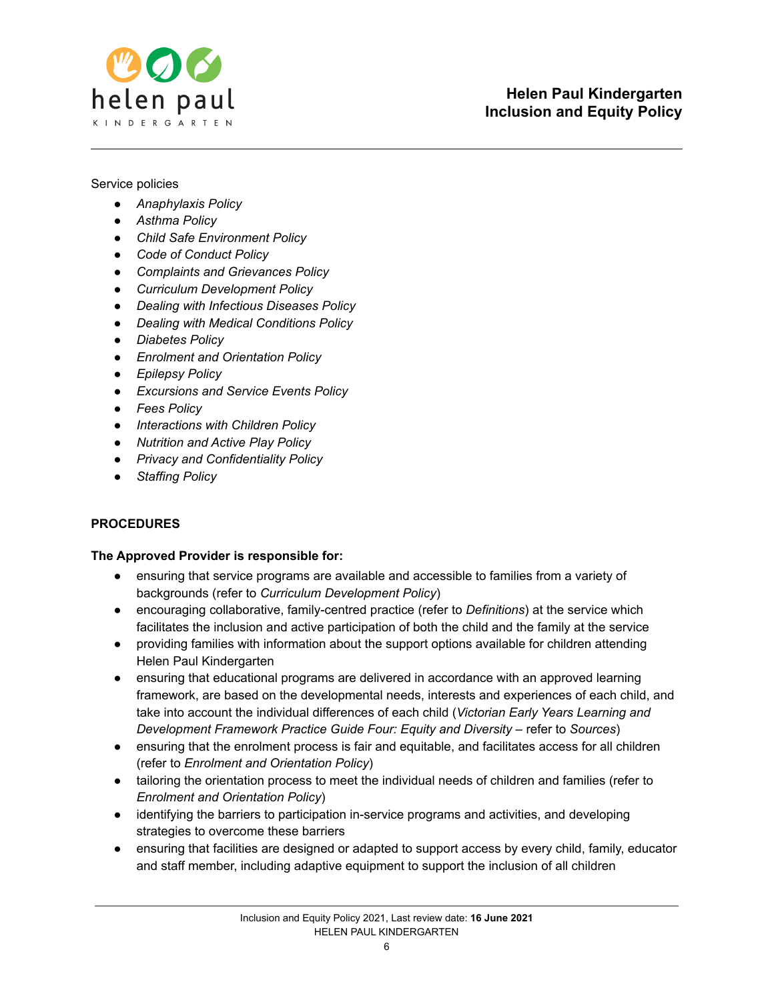

### Service policies

- *● Anaphylaxis Policy*
- *● Asthma Policy*
- *● Child Safe Environment Policy*
- *● Code of Conduct Policy*
- *● Complaints and Grievances Policy*
- *● Curriculum Development Policy*
- *● Dealing with Infectious Diseases Policy*
- *● Dealing with Medical Conditions Policy*
- *● Diabetes Policy*
- *● Enrolment and Orientation Policy*
- *● Epilepsy Policy*
- *● Excursions and Service Events Policy*
- *● Fees Policy*
- *● Interactions with Children Policy*
- *● Nutrition and Active Play Policy*
- *● Privacy and Confidentiality Policy*
- *● Staffing Policy*

# **PROCEDURES**

### **The Approved Provider is responsible for:**

- ensuring that service programs are available and accessible to families from a variety of backgrounds (refer to *Curriculum Development Policy*)
- encouraging collaborative, family-centred practice (refer to *Definitions*) at the service which facilitates the inclusion and active participation of both the child and the family at the service
- providing families with information about the support options available for children attending Helen Paul Kindergarten
- ensuring that educational programs are delivered in accordance with an approved learning framework, are based on the developmental needs, interests and experiences of each child, and take into account the individual differences of each child (*Victorian Early Years Learning and Development Framework Practice Guide Four: Equity and Diversity* – refer to *Sources*)
- ensuring that the enrolment process is fair and equitable, and facilitates access for all children (refer to *Enrolment and Orientation Policy*)
- tailoring the orientation process to meet the individual needs of children and families (refer to *Enrolment and Orientation Policy*)
- identifying the barriers to participation in-service programs and activities, and developing strategies to overcome these barriers
- ensuring that facilities are designed or adapted to support access by every child, family, educator and staff member, including adaptive equipment to support the inclusion of all children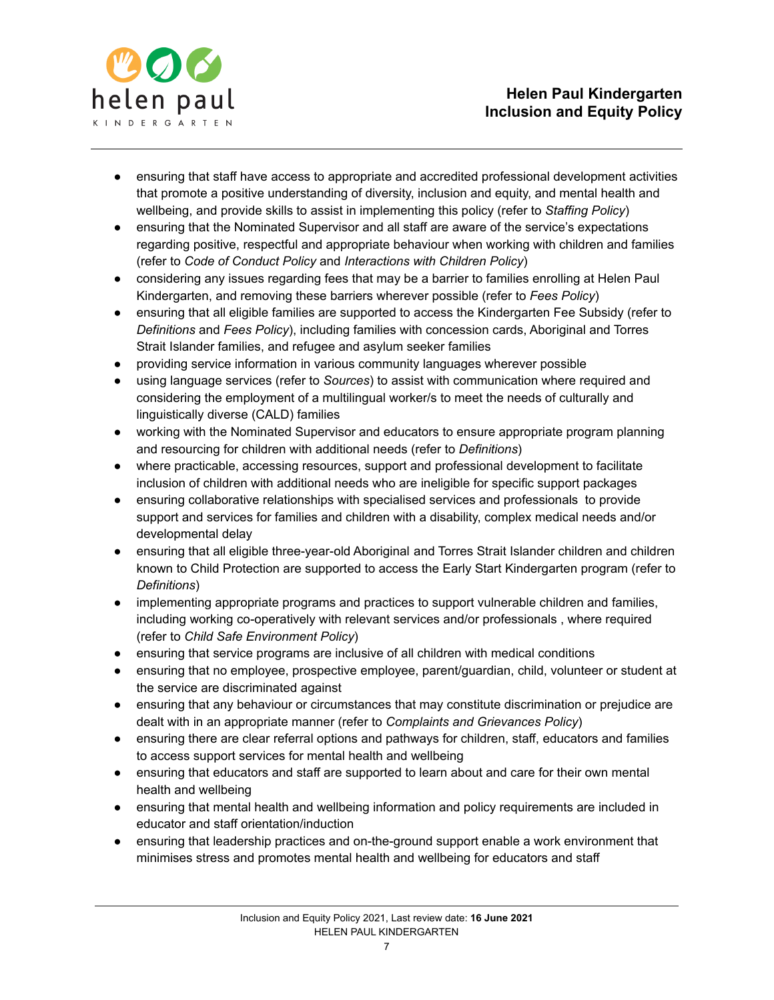

- ensuring that staff have access to appropriate and accredited professional development activities that promote a positive understanding of diversity, inclusion and equity, and mental health and wellbeing, and provide skills to assist in implementing this policy (refer to *Staffing Policy*)
- ensuring that the Nominated Supervisor and all staff are aware of the service's expectations regarding positive, respectful and appropriate behaviour when working with children and families (refer to *Code of Conduct Policy* and *Interactions with Children Policy*)
- considering any issues regarding fees that may be a barrier to families enrolling at Helen Paul Kindergarten, and removing these barriers wherever possible (refer to *Fees Policy*)
- ensuring that all eligible families are supported to access the Kindergarten Fee Subsidy (refer to *Definitions* and *Fees Policy*), including families with concession cards, Aboriginal and Torres Strait Islander families, and refugee and asylum seeker families
- providing service information in various community languages wherever possible
- using language services (refer to *Sources*) to assist with communication where required and considering the employment of a multilingual worker/s to meet the needs of culturally and linguistically diverse (CALD) families
- working with the Nominated Supervisor and educators to ensure appropriate program planning and resourcing for children with additional needs (refer to *Definitions*)
- where practicable, accessing resources, support and professional development to facilitate inclusion of children with additional needs who are ineligible for specific support packages
- ensuring collaborative relationships with specialised services and professionals to provide support and services for families and children with a disability, complex medical needs and/or developmental delay
- ensuring that all eligible three-year-old Aboriginal and Torres Strait Islander children and children known to Child Protection are supported to access the Early Start Kindergarten program (refer to *Definitions*)
- implementing appropriate programs and practices to support vulnerable children and families, including working co-operatively with relevant services and/or professionals , where required (refer to *Child Safe Environment Policy*)
- ensuring that service programs are inclusive of all children with medical conditions
- ensuring that no employee, prospective employee, parent/guardian, child, volunteer or student at the service are discriminated against
- ensuring that any behaviour or circumstances that may constitute discrimination or prejudice are dealt with in an appropriate manner (refer to *Complaints and Grievances Policy*)
- ensuring there are clear referral options and pathways for children, staff, educators and families to access support services for mental health and wellbeing
- ensuring that educators and staff are supported to learn about and care for their own mental health and wellbeing
- ensuring that mental health and wellbeing information and policy requirements are included in educator and staff orientation/induction
- ensuring that leadership practices and on-the-ground support enable a work environment that minimises stress and promotes mental health and wellbeing for educators and staff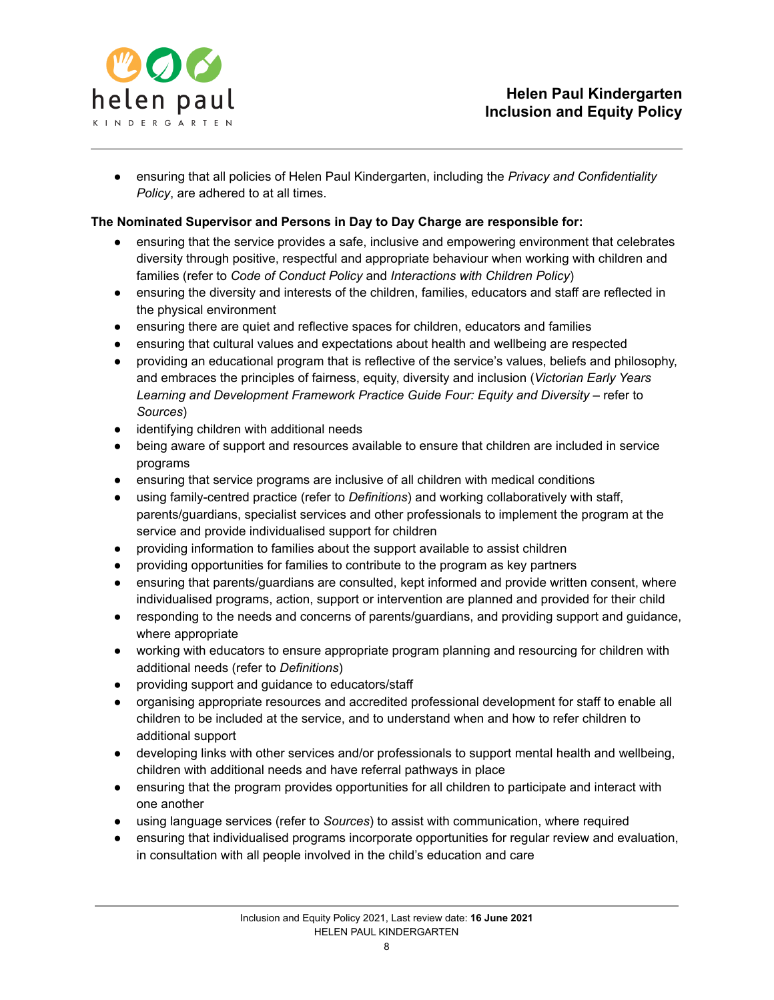

● ensuring that all policies of Helen Paul Kindergarten, including the *Privacy and Confidentiality Policy*, are adhered to at all times.

## **The Nominated Supervisor and Persons in Day to Day Charge are responsible for:**

- ensuring that the service provides a safe, inclusive and empowering environment that celebrates diversity through positive, respectful and appropriate behaviour when working with children and families (refer to *Code of Conduct Policy* and *Interactions with Children Policy*)
- ensuring the diversity and interests of the children, families, educators and staff are reflected in the physical environment
- ensuring there are quiet and reflective spaces for children, educators and families
- ensuring that cultural values and expectations about health and wellbeing are respected
- providing an educational program that is reflective of the service's values, beliefs and philosophy, and embraces the principles of fairness, equity, diversity and inclusion (*Victorian Early Years Learning and Development Framework Practice Guide Four: Equity and Diversity* – refer to *Sources*)
- identifying children with additional needs
- being aware of support and resources available to ensure that children are included in service programs
- ensuring that service programs are inclusive of all children with medical conditions
- using family-centred practice (refer to *Definitions*) and working collaboratively with staff, parents/guardians, specialist services and other professionals to implement the program at the service and provide individualised support for children
- providing information to families about the support available to assist children
- providing opportunities for families to contribute to the program as key partners
- ensuring that parents/guardians are consulted, kept informed and provide written consent, where individualised programs, action, support or intervention are planned and provided for their child
- responding to the needs and concerns of parents/guardians, and providing support and guidance, where appropriate
- working with educators to ensure appropriate program planning and resourcing for children with additional needs (refer to *Definitions*)
- providing support and guidance to educators/staff
- organising appropriate resources and accredited professional development for staff to enable all children to be included at the service, and to understand when and how to refer children to additional support
- developing links with other services and/or professionals to support mental health and wellbeing, children with additional needs and have referral pathways in place
- ensuring that the program provides opportunities for all children to participate and interact with one another
- using language services (refer to *Sources*) to assist with communication, where required
- ensuring that individualised programs incorporate opportunities for regular review and evaluation, in consultation with all people involved in the child's education and care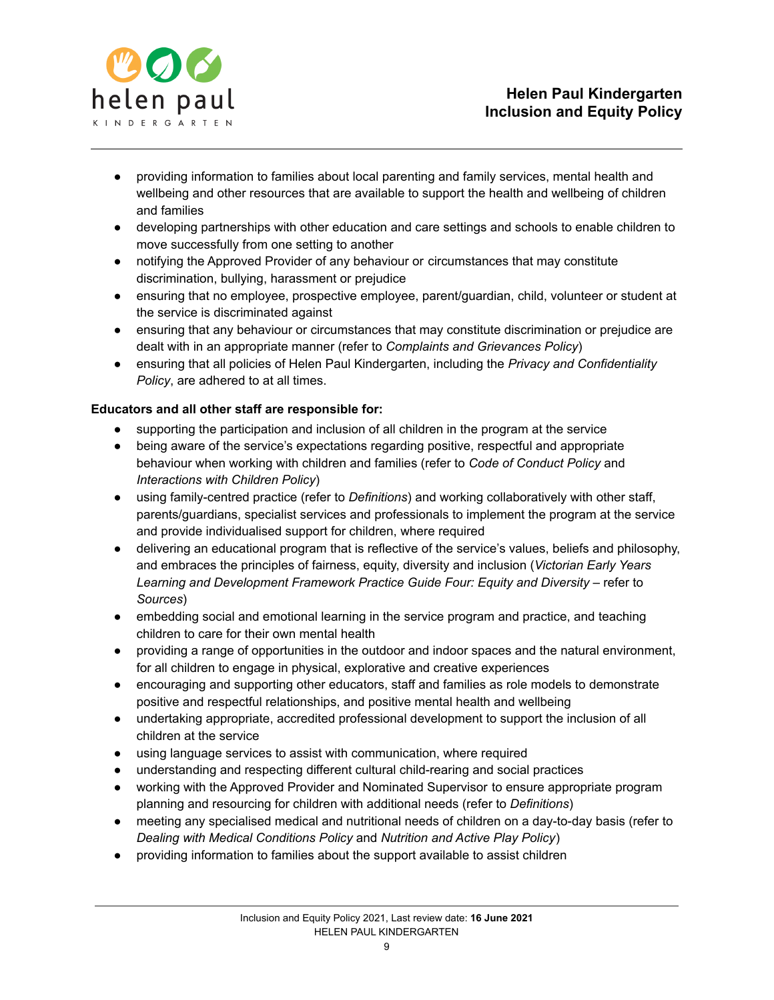

- providing information to families about local parenting and family services, mental health and wellbeing and other resources that are available to support the health and wellbeing of children and families
- developing partnerships with other education and care settings and schools to enable children to move successfully from one setting to another
- notifying the Approved Provider of any behaviour or circumstances that may constitute discrimination, bullying, harassment or prejudice
- ensuring that no employee, prospective employee, parent/guardian, child, volunteer or student at the service is discriminated against
- ensuring that any behaviour or circumstances that may constitute discrimination or prejudice are dealt with in an appropriate manner (refer to *Complaints and Grievances Policy*)
- ensuring that all policies of Helen Paul Kindergarten, including the *Privacy and Confidentiality Policy*, are adhered to at all times.

# **Educators and all other staff are responsible for:**

- supporting the participation and inclusion of all children in the program at the service
- being aware of the service's expectations regarding positive, respectful and appropriate behaviour when working with children and families (refer to *Code of Conduct Policy* and *Interactions with Children Policy*)
- using family-centred practice (refer to *Definitions*) and working collaboratively with other staff, parents/guardians, specialist services and professionals to implement the program at the service and provide individualised support for children, where required
- delivering an educational program that is reflective of the service's values, beliefs and philosophy, and embraces the principles of fairness, equity, diversity and inclusion (*Victorian Early Years Learning and Development Framework Practice Guide Four: Equity and Diversity* – refer to *Sources*)
- embedding social and emotional learning in the service program and practice, and teaching children to care for their own mental health
- providing a range of opportunities in the outdoor and indoor spaces and the natural environment, for all children to engage in physical, explorative and creative experiences
- encouraging and supporting other educators, staff and families as role models to demonstrate positive and respectful relationships, and positive mental health and wellbeing
- undertaking appropriate, accredited professional development to support the inclusion of all children at the service
- using language services to assist with communication, where required
- understanding and respecting different cultural child-rearing and social practices
- working with the Approved Provider and Nominated Supervisor to ensure appropriate program planning and resourcing for children with additional needs (refer to *Definitions*)
- meeting any specialised medical and nutritional needs of children on a day-to-day basis (refer to *Dealing with Medical Conditions Policy* and *Nutrition and Active Play Policy*)
- providing information to families about the support available to assist children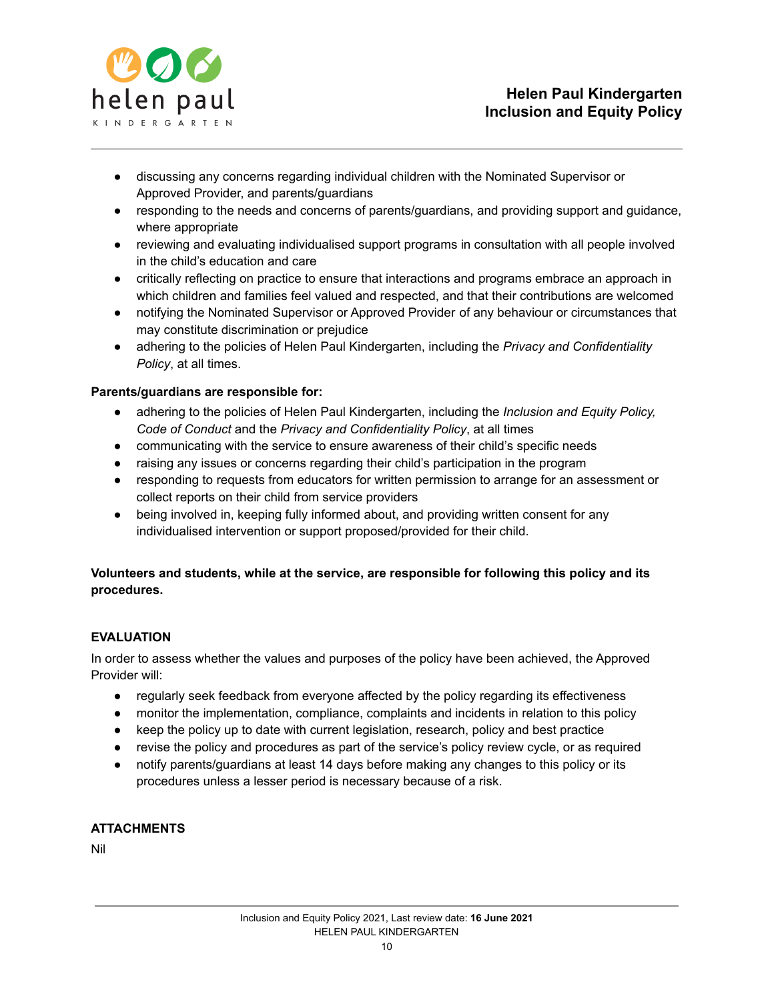

- discussing any concerns regarding individual children with the Nominated Supervisor or Approved Provider, and parents/guardians
- responding to the needs and concerns of parents/guardians, and providing support and guidance, where appropriate
- reviewing and evaluating individualised support programs in consultation with all people involved in the child's education and care
- critically reflecting on practice to ensure that interactions and programs embrace an approach in which children and families feel valued and respected, and that their contributions are welcomed
- notifying the Nominated Supervisor or Approved Provider of any behaviour or circumstances that may constitute discrimination or prejudice
- adhering to the policies of Helen Paul Kindergarten, including the *Privacy and Confidentiality Policy*, at all times.

## **Parents/guardians are responsible for:**

- adhering to the policies of Helen Paul Kindergarten, including the *Inclusion and Equity Policy, Code of Conduct* and the *Privacy and Confidentiality Policy*, at all times
- communicating with the service to ensure awareness of their child's specific needs
- raising any issues or concerns regarding their child's participation in the program
- responding to requests from educators for written permission to arrange for an assessment or collect reports on their child from service providers
- being involved in, keeping fully informed about, and providing written consent for any individualised intervention or support proposed/provided for their child.

# **Volunteers and students, while at the service, are responsible for following this policy and its procedures.**

### **EVALUATION**

In order to assess whether the values and purposes of the policy have been achieved, the Approved Provider will:

- regularly seek feedback from everyone affected by the policy regarding its effectiveness
- monitor the implementation, compliance, complaints and incidents in relation to this policy
- keep the policy up to date with current legislation, research, policy and best practice
- revise the policy and procedures as part of the service's policy review cycle, or as required
- notify parents/guardians at least 14 days before making any changes to this policy or its procedures unless a lesser period is necessary because of a risk.

# **ATTACHMENTS**

Nil